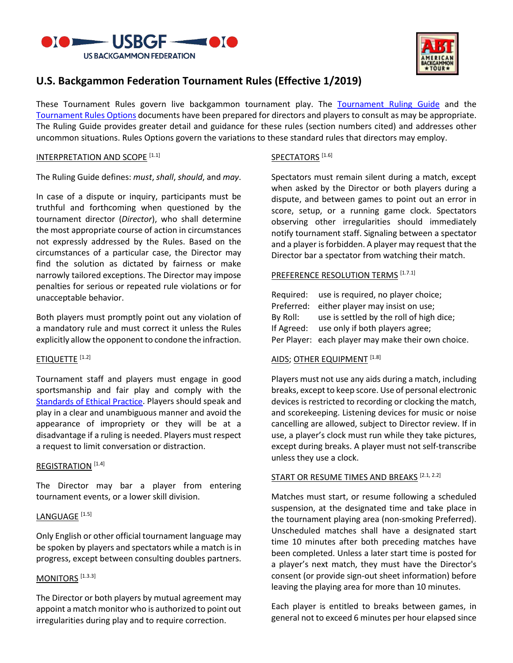



# **U.S. Backgammon Federation Tournament Rules (Effective 1/2019)**

These Tournament Rules govern live backgammon tournament play. The [Tournament Ruling Guide](http://usbgf.org/docs/ruling-guide.pdf) and the [Tournament Rules Options](http://usbgf.org/docs/rules-options.pdf) documents have been prepared for directors and players to consult as may be appropriate. The Ruling Guide provides greater detail and guidance for these rules (section numbers cited) and addresses other uncommon situations. Rules Options govern the variations to these standard rules that directors may employ.

#### INTERPRETATION AND SCOPE<sup>[1.1]</sup>

The Ruling Guide defines: *must*, *shall*, *should*, and *may*.

In case of a dispute or inquiry, participants must be truthful and forthcoming when questioned by the tournament director (*Director*), who shall determine the most appropriate course of action in circumstances not expressly addressed by the Rules. Based on the circumstances of a particular case, the Director may find the solution as dictated by fairness or make narrowly tailored exceptions. The Director may impose penalties for serious or repeated rule violations or for unacceptable behavior.

Both players must promptly point out any violation of a mandatory rule and must correct it unless the Rules explicitly allow the opponent to condone the infraction.

#### ETIQUETTE<sup>[1.2]</sup>

Tournament staff and players must engage in good sportsmanship and fair play and comply with the [Standards of Ethical Practice.](http://usbgf.org/docs/standards-of-ethical-practice.pdf) Players should speak and play in a clear and unambiguous manner and avoid the appearance of impropriety or they will be at a disadvantage if a ruling is needed. Players must respect a request to limit conversation or distraction.

#### REGISTRATION<sup>[1.4]</sup>

The Director may bar a player from entering tournament events, or a lower skill division.

# LANGUAGE<sup>[1.5]</sup>

Only English or other official tournament language may be spoken by players and spectators while a match is in progress, except between consulting doubles partners.

# MONITORS<sup>[1.3.3]</sup>

The Director or both players by mutual agreement may appoint a match monitor who is authorized to point out irregularities during play and to require correction.

### SPECTATORS<sup>[1.6]</sup>

Spectators must remain silent during a match, except when asked by the Director or both players during a dispute, and between games to point out an error in score, setup, or a running game clock. Spectators observing other irregularities should immediately notify tournament staff. Signaling between a spectator and a player is forbidden. A player may request that the Director bar a spectator from watching their match.

#### PREFERENCE RESOLUTION TERMS<sup>[1.7.1]</sup>

|            | Required: use is required, no player choice;       |
|------------|----------------------------------------------------|
|            | Preferred: either player may insist on use;        |
| By Roll:   | use is settled by the roll of high dice;           |
| If Agreed: | use only if both players agree;                    |
|            | Per Player: each player may make their own choice. |

# AIDS; OTHER EQUIPMENT<sup>[1.8]</sup>

Players must not use any aids during a match, including breaks, except to keep score. Use of personal electronic devices is restricted to recording or clocking the match, and scorekeeping. Listening devices for music or noise cancelling are allowed, subject to Director review. If in use, a player's clock must run while they take pictures, except during breaks. A player must not self-transcribe unless they use a clock.

#### START OR RESUME TIMES AND BREAKS<sup>[2.1, 2.2]</sup>

Matches must start, or resume following a scheduled suspension, at the designated time and take place in the tournament playing area (non-smoking Preferred). Unscheduled matches shall have a designated start time 10 minutes after both preceding matches have been completed. Unless a later start time is posted for a player's next match, they must have the Director's consent (or provide sign-out sheet information) before leaving the playing area for more than 10 minutes.

Each player is entitled to breaks between games, in general not to exceed 6 minutes per hour elapsed since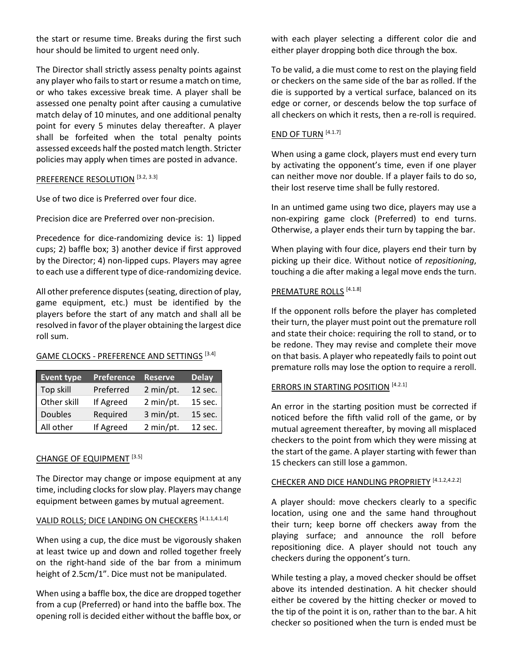the start or resume time. Breaks during the first such hour should be limited to urgent need only.

The Director shall strictly assess penalty points against any player who fails to start or resume a match on time, or who takes excessive break time. A player shall be assessed one penalty point after causing a cumulative match delay of 10 minutes, and one additional penalty point for every 5 minutes delay thereafter. A player shall be forfeited when the total penalty points assessed exceeds half the posted match length. Stricter policies may apply when times are posted in advance.

#### PREFERENCE RESOLUTION [3.2, 3.3]

Use of two dice is Preferred over four dice.

Precision dice are Preferred over non-precision.

Precedence for dice-randomizing device is: 1) lipped cups; 2) baffle box; 3) another device if first approved by the Director; 4) non-lipped cups. Players may agree to each use a different type of dice-randomizing device.

All other preference disputes (seating, direction of play, game equipment, etc.) must be identified by the players before the start of any match and shall all be resolved in favor of the player obtaining the largest dice roll sum.

# GAME CLOCKS - PREFERENCE AND SETTINGS [3.4]

| <b>Event type</b> | <b>Preference</b> | <b>Reserve</b> | <b>Delay</b> |
|-------------------|-------------------|----------------|--------------|
| Top skill         | Preferred         | 2 min/pt.      | 12 sec.      |
| Other skill       | If Agreed         | 2 min/pt.      | 15 sec.      |
| <b>Doubles</b>    | Required          | 3 min/pt.      | 15 sec.      |
| All other         | If Agreed         | 2 min/pt.      | 12 sec.      |

# CHANGE OF EQUIPMENT [3.5]

The Director may change or impose equipment at any time, including clocks for slow play. Players may change equipment between games by mutual agreement.

# VALID ROLLS; DICE LANDING ON CHECKERS [4.1.1,4.1.4]

When using a cup, the dice must be vigorously shaken at least twice up and down and rolled together freely on the right-hand side of the bar from a minimum height of 2.5cm/1". Dice must not be manipulated.

When using a baffle box, the dice are dropped together from a cup (Preferred) or hand into the baffle box. The opening roll is decided either without the baffle box, or with each player selecting a different color die and either player dropping both dice through the box.

To be valid, a die must come to rest on the playing field or checkers on the same side of the bar as rolled. If the die is supported by a vertical surface, balanced on its edge or corner, or descends below the top surface of all checkers on which it rests, then a re-roll is required.

# END OF TURN [4.1.7]

When using a game clock, players must end every turn by activating the opponent's time, even if one player can neither move nor double. If a player fails to do so, their lost reserve time shall be fully restored.

In an untimed game using two dice, players may use a non-expiring game clock (Preferred) to end turns. Otherwise, a player ends their turn by tapping the bar.

When playing with four dice, players end their turn by picking up their dice. Without notice of *repositioning*, touching a die after making a legal move ends the turn.

#### PREMATURE ROLLS<sup>[4.1.8]</sup>

If the opponent rolls before the player has completed their turn, the player must point out the premature roll and state their choice: requiring the roll to stand, or to be redone. They may revise and complete their move on that basis. A player who repeatedly fails to point out premature rolls may lose the option to require a reroll.

# **ERRORS IN STARTING POSITION [4.2.1]**

An error in the starting position must be corrected if noticed before the fifth valid roll of the game, or by mutual agreement thereafter, by moving all misplaced checkers to the point from which they were missing at the start of the game. A player starting with fewer than 15 checkers can still lose a gammon.

#### CHECKER AND DICE HANDLING PROPRIETY<sup>[4.1.2,4.2.2]</sup>

A player should: move checkers clearly to a specific location, using one and the same hand throughout their turn; keep borne off checkers away from the playing surface; and announce the roll before repositioning dice. A player should not touch any checkers during the opponent's turn.

While testing a play, a moved checker should be offset above its intended destination. A hit checker should either be covered by the hitting checker or moved to the tip of the point it is on, rather than to the bar. A hit checker so positioned when the turn is ended must be